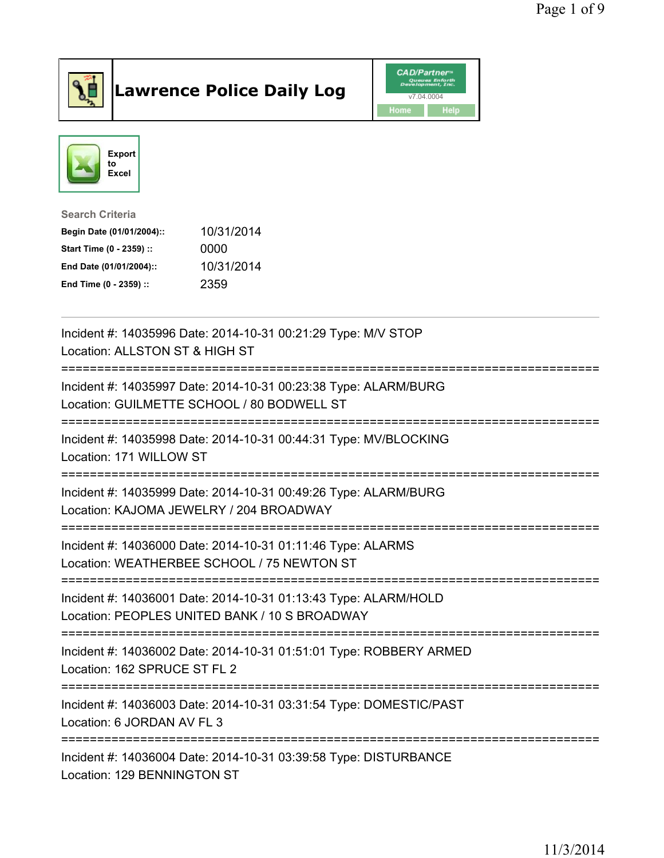

## Lawrence Police Daily Log **Daniel CAD/Partner**





Search Criteria Begin Date (01/01/2004):: 10/31/2014 Start Time (0 - 2359) :: 0000 End Date (01/01/2004):: 10/31/2014 End Time (0 - 2359) :: 2359

| Incident #: 14035996 Date: 2014-10-31 00:21:29 Type: M/V STOP<br>Location: ALLSTON ST & HIGH ST                  |
|------------------------------------------------------------------------------------------------------------------|
| Incident #: 14035997 Date: 2014-10-31 00:23:38 Type: ALARM/BURG<br>Location: GUILMETTE SCHOOL / 80 BODWELL ST    |
| Incident #: 14035998 Date: 2014-10-31 00:44:31 Type: MV/BLOCKING<br>Location: 171 WILLOW ST                      |
| Incident #: 14035999 Date: 2014-10-31 00:49:26 Type: ALARM/BURG<br>Location: KAJOMA JEWELRY / 204 BROADWAY       |
| Incident #: 14036000 Date: 2014-10-31 01:11:46 Type: ALARMS<br>Location: WEATHERBEE SCHOOL / 75 NEWTON ST        |
| Incident #: 14036001 Date: 2014-10-31 01:13:43 Type: ALARM/HOLD<br>Location: PEOPLES UNITED BANK / 10 S BROADWAY |
| Incident #: 14036002 Date: 2014-10-31 01:51:01 Type: ROBBERY ARMED<br>Location: 162 SPRUCE ST FL 2               |
| Incident #: 14036003 Date: 2014-10-31 03:31:54 Type: DOMESTIC/PAST<br>Location: 6 JORDAN AV FL 3                 |
| Incident #: 14036004 Date: 2014-10-31 03:39:58 Type: DISTURBANCE<br>Location: 129 BENNINGTON ST                  |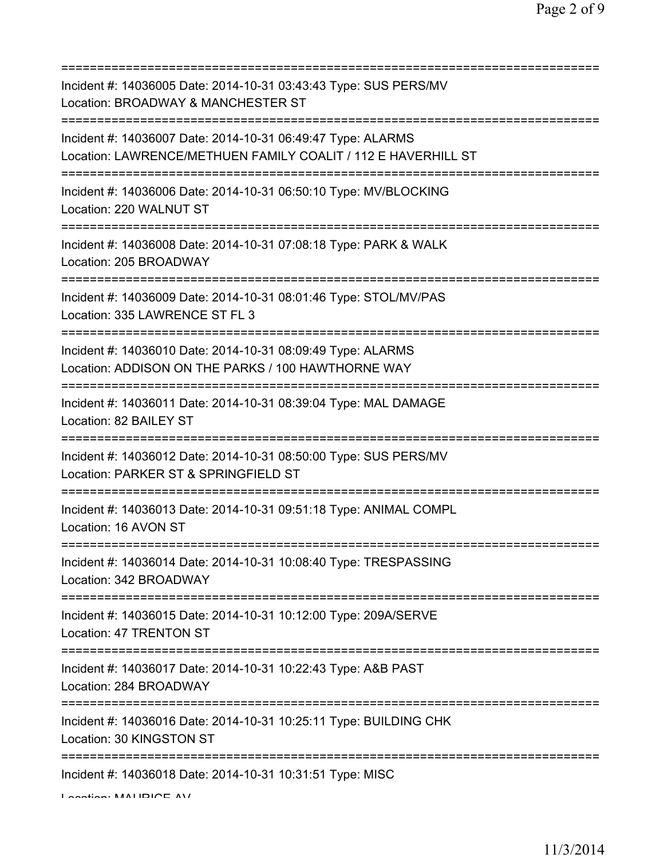| Incident #: 14036005 Date: 2014-10-31 03:43:43 Type: SUS PERS/MV<br>Location: BROADWAY & MANCHESTER ST                                                  |
|---------------------------------------------------------------------------------------------------------------------------------------------------------|
| Incident #: 14036007 Date: 2014-10-31 06:49:47 Type: ALARMS<br>Location: LAWRENCE/METHUEN FAMILY COALIT / 112 E HAVERHILL ST                            |
| Incident #: 14036006 Date: 2014-10-31 06:50:10 Type: MV/BLOCKING<br>Location: 220 WALNUT ST                                                             |
| Incident #: 14036008 Date: 2014-10-31 07:08:18 Type: PARK & WALK<br>Location: 205 BROADWAY                                                              |
| Incident #: 14036009 Date: 2014-10-31 08:01:46 Type: STOL/MV/PAS<br>Location: 335 LAWRENCE ST FL 3<br>===========================<br>================== |
| Incident #: 14036010 Date: 2014-10-31 08:09:49 Type: ALARMS<br>Location: ADDISON ON THE PARKS / 100 HAWTHORNE WAY                                       |
| Incident #: 14036011 Date: 2014-10-31 08:39:04 Type: MAL DAMAGE<br>Location: 82 BAILEY ST                                                               |
| Incident #: 14036012 Date: 2014-10-31 08:50:00 Type: SUS PERS/MV<br>Location: PARKER ST & SPRINGFIELD ST                                                |
| Incident #: 14036013 Date: 2014-10-31 09:51:18 Type: ANIMAL COMPL<br>Location: 16 AVON ST                                                               |
| Incident #: 14036014 Date: 2014-10-31 10:08:40 Type: TRESPASSING<br>Location: 342 BROADWAY                                                              |
| Incident #: 14036015 Date: 2014-10-31 10:12:00 Type: 209A/SERVE<br>Location: 47 TRENTON ST                                                              |
| Incident #: 14036017 Date: 2014-10-31 10:22:43 Type: A&B PAST<br>Location: 284 BROADWAY                                                                 |
| Incident #: 14036016 Date: 2014-10-31 10:25:11 Type: BUILDING CHK<br>Location: 30 KINGSTON ST                                                           |
| Incident #: 14036018 Date: 2014-10-31 10:31:51 Type: MISC<br>A                                                                                          |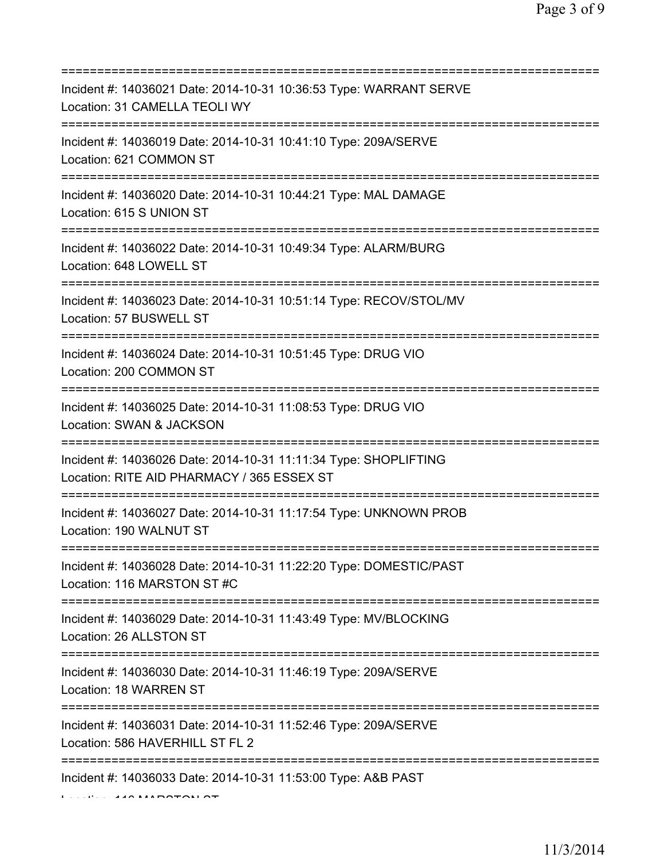| Incident #: 14036021 Date: 2014-10-31 10:36:53 Type: WARRANT SERVE<br>Location: 31 CAMELLA TEOLI WY                                 |
|-------------------------------------------------------------------------------------------------------------------------------------|
| Incident #: 14036019 Date: 2014-10-31 10:41:10 Type: 209A/SERVE<br>Location: 621 COMMON ST                                          |
| Incident #: 14036020 Date: 2014-10-31 10:44:21 Type: MAL DAMAGE<br>Location: 615 S UNION ST                                         |
| Incident #: 14036022 Date: 2014-10-31 10:49:34 Type: ALARM/BURG<br>Location: 648 LOWELL ST                                          |
| Incident #: 14036023 Date: 2014-10-31 10:51:14 Type: RECOV/STOL/MV<br>Location: 57 BUSWELL ST                                       |
| Incident #: 14036024 Date: 2014-10-31 10:51:45 Type: DRUG VIO<br>Location: 200 COMMON ST                                            |
| Incident #: 14036025 Date: 2014-10-31 11:08:53 Type: DRUG VIO<br>Location: SWAN & JACKSON<br>====================================== |
| Incident #: 14036026 Date: 2014-10-31 11:11:34 Type: SHOPLIFTING<br>Location: RITE AID PHARMACY / 365 ESSEX ST                      |
| ===============<br>Incident #: 14036027 Date: 2014-10-31 11:17:54 Type: UNKNOWN PROB<br>Location: 190 WALNUT ST                     |
| Incident #: 14036028 Date: 2014-10-31 11:22:20 Type: DOMESTIC/PAST<br>Location: 116 MARSTON ST #C                                   |
| Incident #: 14036029 Date: 2014-10-31 11:43:49 Type: MV/BLOCKING<br>Location: 26 ALLSTON ST                                         |
| Incident #: 14036030 Date: 2014-10-31 11:46:19 Type: 209A/SERVE<br>Location: 18 WARREN ST                                           |
| Incident #: 14036031 Date: 2014-10-31 11:52:46 Type: 209A/SERVE<br>Location: 586 HAVERHILL ST FL 2                                  |
| Incident #: 14036033 Date: 2014-10-31 11:53:00 Type: A&B PAST                                                                       |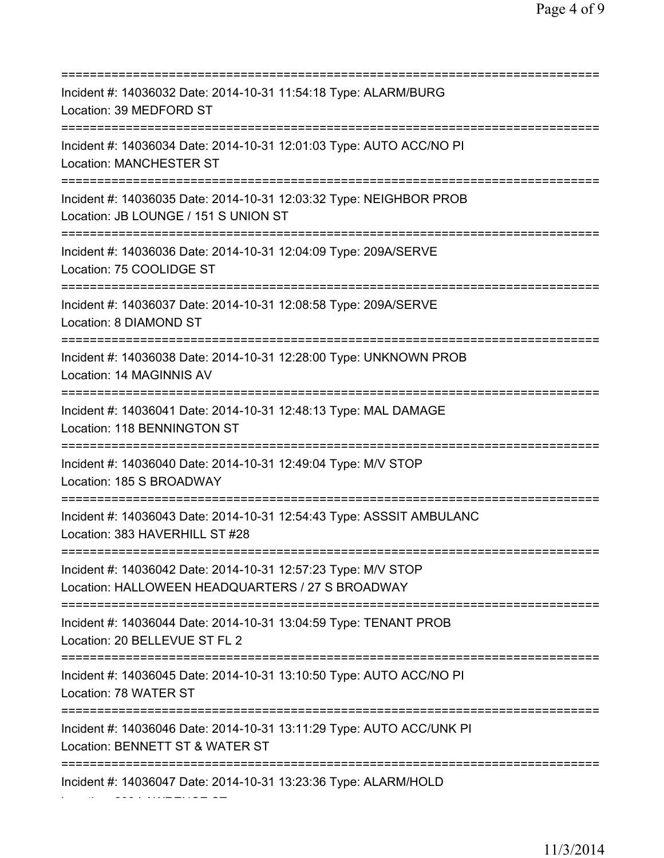| Incident #: 14036032 Date: 2014-10-31 11:54:18 Type: ALARM/BURG<br>Location: 39 MEDFORD ST                                                                                                                    |
|---------------------------------------------------------------------------------------------------------------------------------------------------------------------------------------------------------------|
| Incident #: 14036034 Date: 2014-10-31 12:01:03 Type: AUTO ACC/NO PI<br><b>Location: MANCHESTER ST</b>                                                                                                         |
| Incident #: 14036035 Date: 2014-10-31 12:03:32 Type: NEIGHBOR PROB<br>Location: JB LOUNGE / 151 S UNION ST                                                                                                    |
| Incident #: 14036036 Date: 2014-10-31 12:04:09 Type: 209A/SERVE<br>Location: 75 COOLIDGE ST                                                                                                                   |
| Incident #: 14036037 Date: 2014-10-31 12:08:58 Type: 209A/SERVE<br>Location: 8 DIAMOND ST                                                                                                                     |
| Incident #: 14036038 Date: 2014-10-31 12:28:00 Type: UNKNOWN PROB<br>Location: 14 MAGINNIS AV                                                                                                                 |
| Incident #: 14036041 Date: 2014-10-31 12:48:13 Type: MAL DAMAGE<br>Location: 118 BENNINGTON ST                                                                                                                |
| Incident #: 14036040 Date: 2014-10-31 12:49:04 Type: M/V STOP<br>Location: 185 S BROADWAY<br>==================================                                                                               |
| Incident #: 14036043 Date: 2014-10-31 12:54:43 Type: ASSSIT AMBULANC<br>Location: 383 HAVERHILL ST #28                                                                                                        |
| Incident #: 14036042 Date: 2014-10-31 12:57:23 Type: M/V STOP<br>Location: HALLOWEEN HEADQUARTERS / 27 S BROADWAY                                                                                             |
| Incident #: 14036044 Date: 2014-10-31 13:04:59 Type: TENANT PROB<br>Location: 20 BELLEVUE ST FL 2                                                                                                             |
| Incident #: 14036045 Date: 2014-10-31 13:10:50 Type: AUTO ACC/NO PI<br>Location: 78 WATER ST                                                                                                                  |
| =====================================<br>Incident #: 14036046                              Date: 2014-10-31 13:11:29 Type: AUTO ACC/UNK PI<br>Location: BENNETT ST & WATER ST<br>============================ |
| Incident #: 14036047 Date: 2014-10-31 13:23:36 Type: ALARM/HOLD                                                                                                                                               |

Location: 290 LAWRENCE ST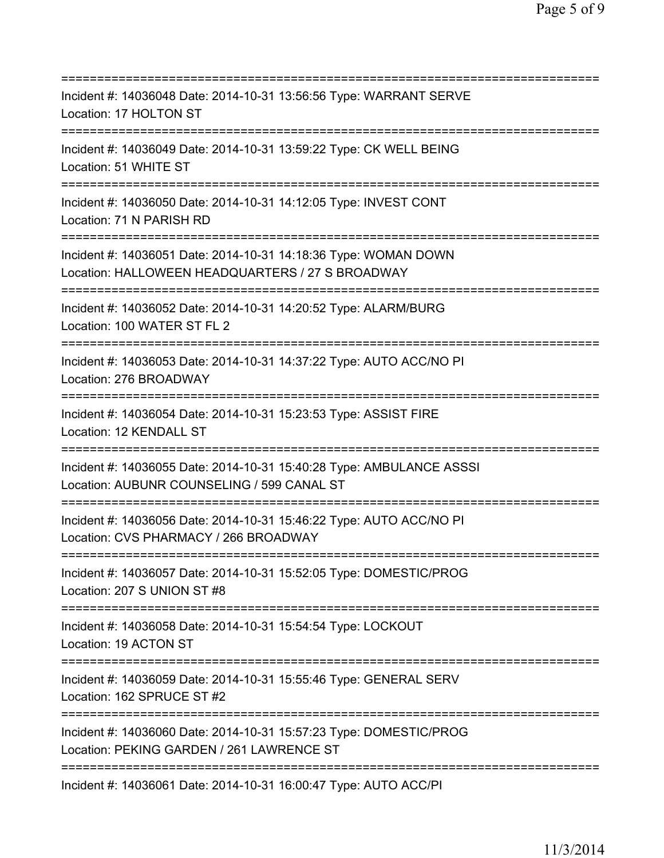=========================================================================== Incident #: 14036048 Date: 2014-10-31 13:56:56 Type: WARRANT SERVE Location: 17 HOLTON ST =========================================================================== Incident #: 14036049 Date: 2014-10-31 13:59:22 Type: CK WELL BEING Location: 51 WHITE ST =========================================================================== Incident #: 14036050 Date: 2014-10-31 14:12:05 Type: INVEST CONT Location: 71 N PARISH RD =========================================================================== Incident #: 14036051 Date: 2014-10-31 14:18:36 Type: WOMAN DOWN Location: HALLOWEEN HEADQUARTERS / 27 S BROADWAY =========================================================================== Incident #: 14036052 Date: 2014-10-31 14:20:52 Type: ALARM/BURG Location: 100 WATER ST FL 2 =========================================================================== Incident #: 14036053 Date: 2014-10-31 14:37:22 Type: AUTO ACC/NO PI Location: 276 BROADWAY =========================================================================== Incident #: 14036054 Date: 2014-10-31 15:23:53 Type: ASSIST FIRE Location: 12 KENDALL ST =========================================================================== Incident #: 14036055 Date: 2014-10-31 15:40:28 Type: AMBULANCE ASSSI Location: AUBUNR COUNSELING / 599 CANAL ST =========================================================================== Incident #: 14036056 Date: 2014-10-31 15:46:22 Type: AUTO ACC/NO PI Location: CVS PHARMACY / 266 BROADWAY =========================================================================== Incident #: 14036057 Date: 2014-10-31 15:52:05 Type: DOMESTIC/PROG Location: 207 S UNION ST #8 =========================================================================== Incident #: 14036058 Date: 2014-10-31 15:54:54 Type: LOCKOUT Location: 19 ACTON ST =========================================================================== Incident #: 14036059 Date: 2014-10-31 15:55:46 Type: GENERAL SERV Location: 162 SPRUCE ST #2 =========================================================================== Incident #: 14036060 Date: 2014-10-31 15:57:23 Type: DOMESTIC/PROG Location: PEKING GARDEN / 261 LAWRENCE ST =========================================================================== Incident #: 14036061 Date: 2014-10-31 16:00:47 Type: AUTO ACC/PI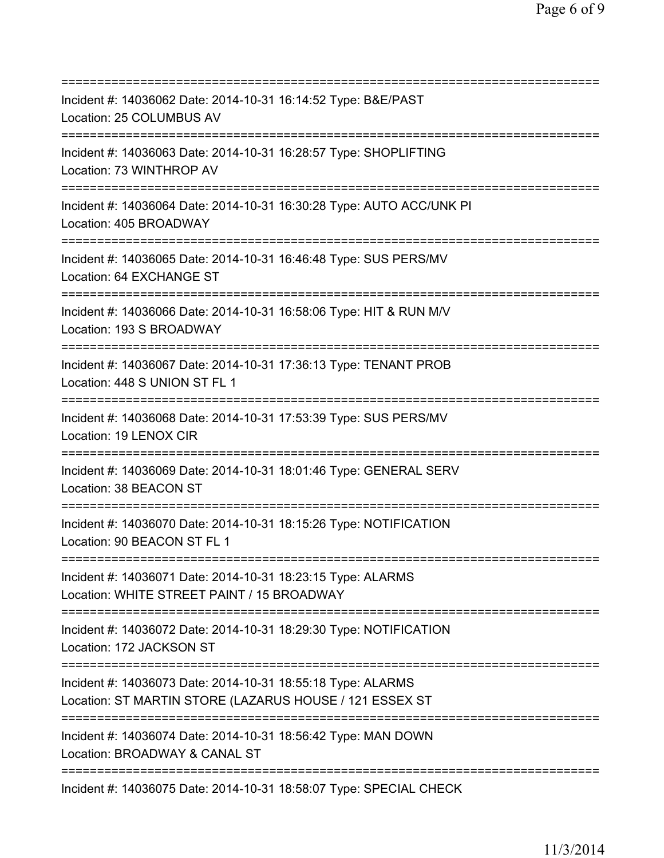| ============================                                                                                                               |
|--------------------------------------------------------------------------------------------------------------------------------------------|
| Incident #: 14036062 Date: 2014-10-31 16:14:52 Type: B&E/PAST<br>Location: 25 COLUMBUS AV                                                  |
| Incident #: 14036063 Date: 2014-10-31 16:28:57 Type: SHOPLIFTING<br>Location: 73 WINTHROP AV                                               |
| Incident #: 14036064 Date: 2014-10-31 16:30:28 Type: AUTO ACC/UNK PI<br>Location: 405 BROADWAY                                             |
| Incident #: 14036065 Date: 2014-10-31 16:46:48 Type: SUS PERS/MV<br>Location: 64 EXCHANGE ST                                               |
| Incident #: 14036066 Date: 2014-10-31 16:58:06 Type: HIT & RUN M/V<br>Location: 193 S BROADWAY                                             |
| Incident #: 14036067 Date: 2014-10-31 17:36:13 Type: TENANT PROB<br>Location: 448 S UNION ST FL 1<br>===================================== |
| Incident #: 14036068 Date: 2014-10-31 17:53:39 Type: SUS PERS/MV<br>Location: 19 LENOX CIR                                                 |
| Incident #: 14036069 Date: 2014-10-31 18:01:46 Type: GENERAL SERV<br>Location: 38 BEACON ST<br>:============================               |
| Incident #: 14036070 Date: 2014-10-31 18:15:26 Type: NOTIFICATION<br>Location: 90 BEACON ST FL 1                                           |
| Incident #: 14036071 Date: 2014-10-31 18:23:15 Type: ALARMS<br>Location: WHITE STREET PAINT / 15 BROADWAY                                  |
| Incident #: 14036072 Date: 2014-10-31 18:29:30 Type: NOTIFICATION<br>Location: 172 JACKSON ST                                              |
| Incident #: 14036073 Date: 2014-10-31 18:55:18 Type: ALARMS<br>Location: ST MARTIN STORE (LAZARUS HOUSE / 121 ESSEX ST                     |
| Incident #: 14036074 Date: 2014-10-31 18:56:42 Type: MAN DOWN<br>Location: BROADWAY & CANAL ST                                             |
| ===================================<br>Incident #: 14036075 Date: 2014-10-31 18:58:07 Type: SPECIAL CHECK                                  |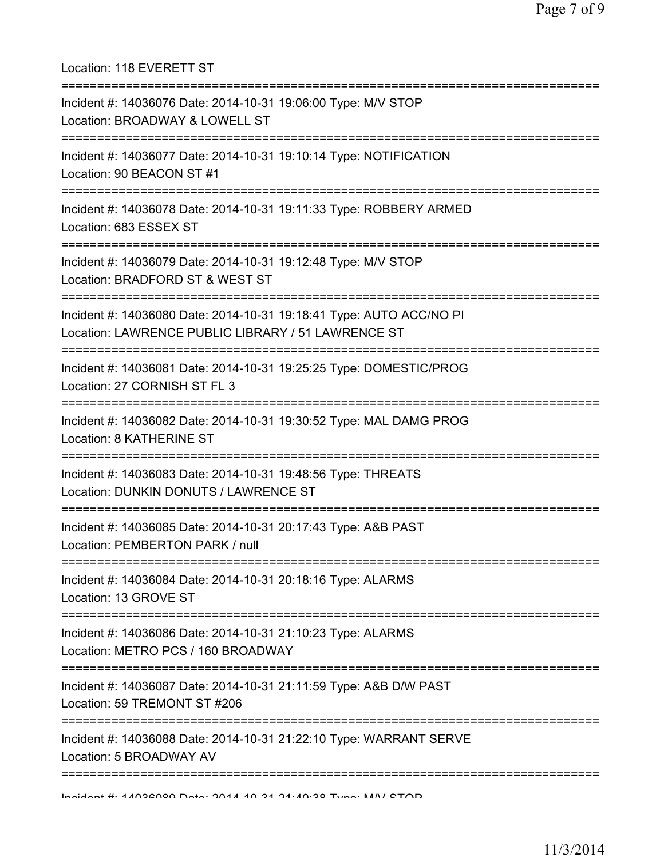| Location: 118 EVERETT ST                                                                                                                                             |
|----------------------------------------------------------------------------------------------------------------------------------------------------------------------|
| Incident #: 14036076 Date: 2014-10-31 19:06:00 Type: M/V STOP<br>Location: BROADWAY & LOWELL ST                                                                      |
| Incident #: 14036077 Date: 2014-10-31 19:10:14 Type: NOTIFICATION<br>Location: 90 BEACON ST #1<br>======================================                             |
| Incident #: 14036078 Date: 2014-10-31 19:11:33 Type: ROBBERY ARMED<br>Location: 683 ESSEX ST<br>====================================<br>============================ |
| Incident #: 14036079 Date: 2014-10-31 19:12:48 Type: M/V STOP<br>Location: BRADFORD ST & WEST ST                                                                     |
| Incident #: 14036080 Date: 2014-10-31 19:18:41 Type: AUTO ACC/NO PI<br>Location: LAWRENCE PUBLIC LIBRARY / 51 LAWRENCE ST                                            |
| Incident #: 14036081 Date: 2014-10-31 19:25:25 Type: DOMESTIC/PROG<br>Location: 27 CORNISH ST FL 3                                                                   |
| Incident #: 14036082 Date: 2014-10-31 19:30:52 Type: MAL DAMG PROG<br>Location: 8 KATHERINE ST                                                                       |
| ------------------------------------<br>Incident #: 14036083 Date: 2014-10-31 19:48:56 Type: THREATS<br>Location: DUNKIN DONUTS / LAWRENCE ST                        |
| Incident #: 14036085 Date: 2014-10-31 20:17:43 Type: A&B PAST<br>Location: PEMBERTON PARK / null                                                                     |
| Incident #: 14036084 Date: 2014-10-31 20:18:16 Type: ALARMS<br>Location: 13 GROVE ST                                                                                 |
| Incident #: 14036086 Date: 2014-10-31 21:10:23 Type: ALARMS<br>Location: METRO PCS / 160 BROADWAY                                                                    |
| Incident #: 14036087 Date: 2014-10-31 21:11:59 Type: A&B D/W PAST<br>Location: 59 TREMONT ST #206                                                                    |
| Incident #: 14036088 Date: 2014-10-31 21:22:10 Type: WARRANT SERVE<br>Location: 5 BROADWAY AV                                                                        |
| Individual 4. 11032000 Data DOLA AD O ALAO.00 Tunner NANI CTOD                                                                                                       |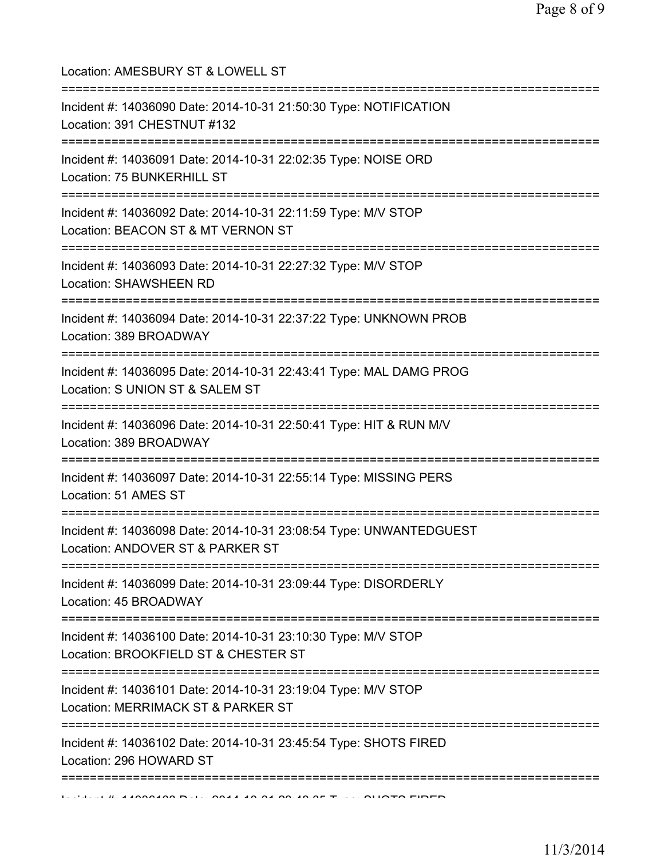| Location: AMESBURY ST & LOWELL ST<br>=====================================                                                   |
|------------------------------------------------------------------------------------------------------------------------------|
| Incident #: 14036090 Date: 2014-10-31 21:50:30 Type: NOTIFICATION<br>Location: 391 CHESTNUT #132                             |
| Incident #: 14036091 Date: 2014-10-31 22:02:35 Type: NOISE ORD<br>Location: 75 BUNKERHILL ST                                 |
| Incident #: 14036092 Date: 2014-10-31 22:11:59 Type: M/V STOP<br>Location: BEACON ST & MT VERNON ST                          |
| ======================<br>Incident #: 14036093 Date: 2014-10-31 22:27:32 Type: M/V STOP<br>Location: SHAWSHEEN RD            |
| :============================<br>Incident #: 14036094 Date: 2014-10-31 22:37:22 Type: UNKNOWN PROB<br>Location: 389 BROADWAY |
| Incident #: 14036095 Date: 2014-10-31 22:43:41 Type: MAL DAMG PROG<br>Location: S UNION ST & SALEM ST                        |
| Incident #: 14036096 Date: 2014-10-31 22:50:41 Type: HIT & RUN M/V<br>Location: 389 BROADWAY                                 |
| Incident #: 14036097 Date: 2014-10-31 22:55:14 Type: MISSING PERS<br>Location: 51 AMES ST                                    |
| Incident #: 14036098 Date: 2014-10-31 23:08:54 Type: UNWANTEDGUEST<br>Location: ANDOVER ST & PARKER ST                       |
| Incident #: 14036099 Date: 2014-10-31 23:09:44 Type: DISORDERLY<br>Location: 45 BROADWAY                                     |
| Incident #: 14036100 Date: 2014-10-31 23:10:30 Type: M/V STOP<br>Location: BROOKFIELD ST & CHESTER ST                        |
| Incident #: 14036101 Date: 2014-10-31 23:19:04 Type: M/V STOP<br>Location: MERRIMACK ST & PARKER ST                          |
| Incident #: 14036102 Date: 2014-10-31 23:45:54 Type: SHOTS FIRED<br>Location: 296 HOWARD ST                                  |
| ==============================                                                                                               |